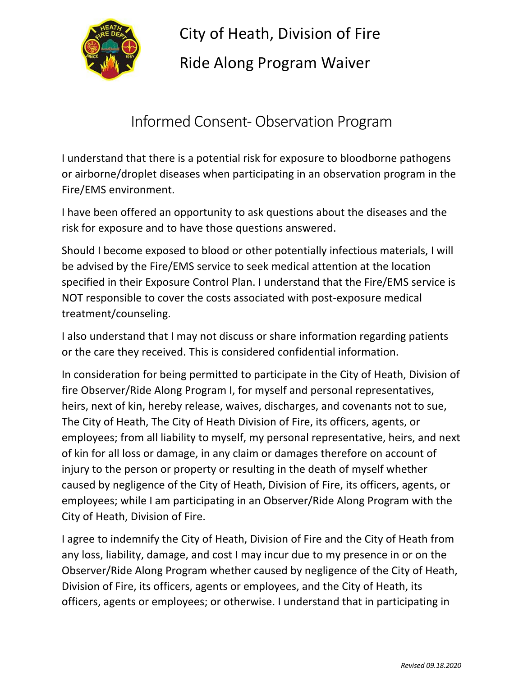

City of Heath, Division of Fire Ride Along Program Waiver

Informed Consent- Observation Program

I understand that there is a potential risk for exposure to bloodborne pathogens or airborne/droplet diseases when participating in an observation program in the Fire/EMS environment.

I have been offered an opportunity to ask questions about the diseases and the risk for exposure and to have those questions answered.

Should I become exposed to blood or other potentially infectious materials, I will be advised by the Fire/EMS service to seek medical attention at the location specified in their Exposure Control Plan. I understand that the Fire/EMS service is NOT responsible to cover the costs associated with post-exposure medical treatment/counseling.

I also understand that I may not discuss or share information regarding patients or the care they received. This is considered confidential information.

In consideration for being permitted to participate in the City of Heath, Division of fire Observer/Ride Along Program I, for myself and personal representatives, heirs, next of kin, hereby release, waives, discharges, and covenants not to sue, The City of Heath, The City of Heath Division of Fire, its officers, agents, or employees; from all liability to myself, my personal representative, heirs, and next of kin for all loss or damage, in any claim or damages therefore on account of injury to the person or property or resulting in the death of myself whether caused by negligence of the City of Heath, Division of Fire, its officers, agents, or employees; while I am participating in an Observer/Ride Along Program with the City of Heath, Division of Fire.

I agree to indemnify the City of Heath, Division of Fire and the City of Heath from any loss, liability, damage, and cost I may incur due to my presence in or on the Observer/Ride Along Program whether caused by negligence of the City of Heath, Division of Fire, its officers, agents or employees, and the City of Heath, its officers, agents or employees; or otherwise. I understand that in participating in